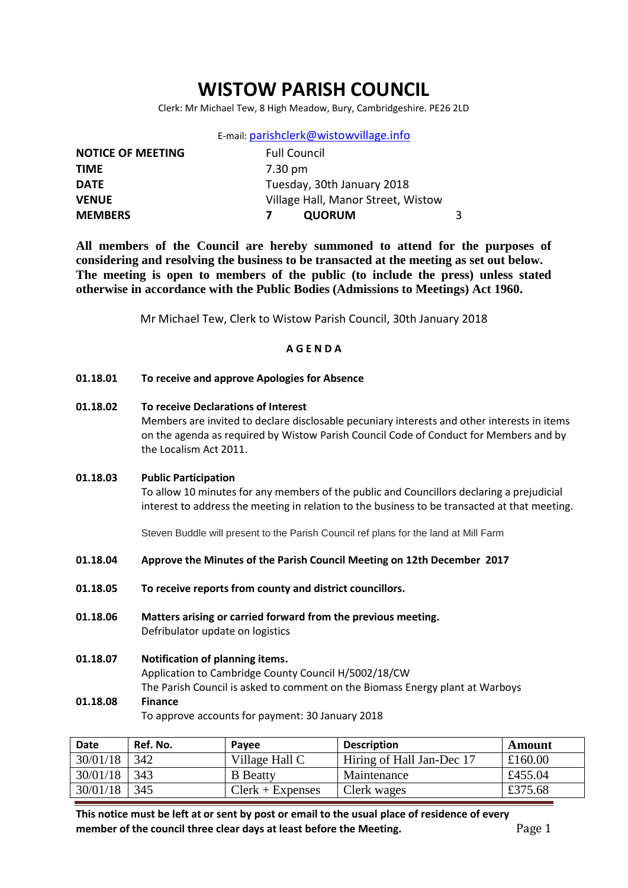## **WISTOW PARISH COUNCIL**

Clerk: Mr Michael Tew, 8 High Meadow, Bury, Cambridgeshire. PE26 2LD

E-mail: [parishclerk@wistowvillage.info](mailto:parishclerk@wistowvillage.info)

| <b>NOTICE OF MEETING</b> | <b>Full Council</b>                |   |
|--------------------------|------------------------------------|---|
| <b>TIME</b>              | 7.30 pm                            |   |
| <b>DATE</b>              | Tuesday, 30th January 2018         |   |
| <b>VENUE</b>             | Village Hall, Manor Street, Wistow |   |
| <b>MEMBERS</b>           | <b>QUORUM</b>                      | 3 |

**All members of the Council are hereby summoned to attend for the purposes of considering and resolving the business to be transacted at the meeting as set out below. The meeting is open to members of the public (to include the press) unless stated otherwise in accordance with the Public Bodies (Admissions to Meetings) Act 1960.**

Mr Michael Tew, Clerk to Wistow Parish Council, 30th January 2018

## **A G E N D A**

- **01.18.01 To receive and approve Apologies for Absence**
- **01.18.02 To receive Declarations of Interest** Members are invited to declare disclosable pecuniary interests and other interests in items on the agenda as required by Wistow Parish Council Code of Conduct for Members and by the Localism Act 2011.
- **01.18.03 Public Participation**

To allow 10 minutes for any members of the public and Councillors declaring a prejudicial interest to address the meeting in relation to the business to be transacted at that meeting.

Steven Buddle will present to the Parish Council ref plans for the land at Mill Farm

- **01.18.04 Approve the Minutes of the Parish Council Meeting on 12th December 2017**
- **01.18.05 To receive reports from county and district councillors.**
- **01.18.06 Matters arising or carried forward from the previous meeting.** Defribulator update on logistics
- **01.18.07 Notification of planning items.** Application to Cambridge County Council H/5002/18/CW The Parish Council is asked to comment on the Biomass Energy plant at Warboys **01.18.08 Finance**

To approve accounts for payment: 30 January 2018

| <b>Date</b> | Ref. No. | Pavee              | <b>Description</b>        | Amount  |
|-------------|----------|--------------------|---------------------------|---------|
| 30/01/18    | 342      | Village Hall C     | Hiring of Hall Jan-Dec 17 | £160.00 |
| 30/01/18    | 343      | <b>B</b> Beatty    | Maintenance               | £455.04 |
| 30/01/18    | 345      | $Clerk + Expenses$ | Clerk wages               | £375.68 |